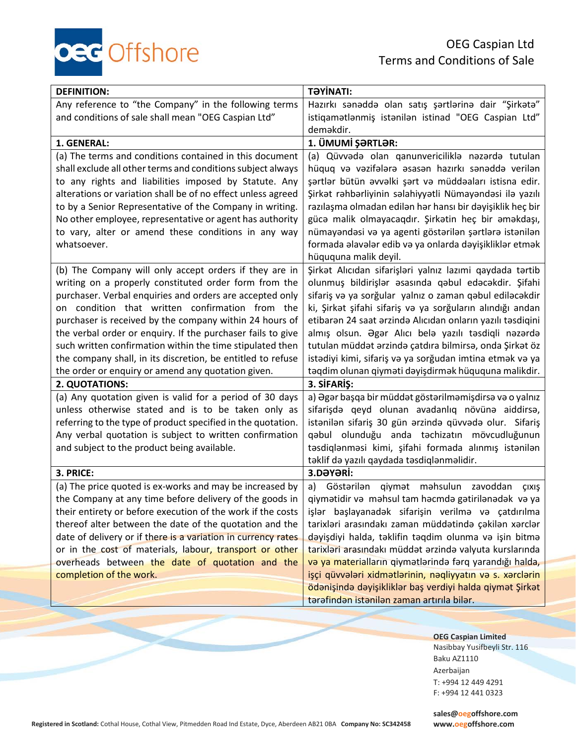OEG Caspian Ltd Terms and Conditions of Sale

| <b>DEFINITION:</b>                                            | <b>TƏYİNATI:</b>                                           |
|---------------------------------------------------------------|------------------------------------------------------------|
| Any reference to "the Company" in the following terms         | Hazırkı sənəddə olan satış şərtlərinə dair "Şirkətə"       |
| and conditions of sale shall mean "OEG Caspian Ltd"           | istiqamatlanmiş istanilan istinad "OEG Caspian Ltd"        |
|                                                               | deməkdir.                                                  |
| 1. GENERAL:                                                   | 1. ÜMUMİ ŞƏRTLƏR:                                          |
| (a) The terms and conditions contained in this document       | (a) Qüvvədə olan qanunvericiliklə nəzərdə tutulan          |
| shall exclude all other terms and conditions subject always   | hüquq və vəzifələrə əsasən hazırkı sənəddə verilən         |
| to any rights and liabilities imposed by Statute. Any         | şərtlər bütün əvvəlki şərt və müddəaları istisna edir.     |
| alterations or variation shall be of no effect unless agreed  | Şirkət rəhbərliyinin səlahiyyətli Nümayəndəsi ilə yazılı   |
| to by a Senior Representative of the Company in writing.      | razılaşma olmadan edilən hər hansı bir dəyişiklik heç bir  |
| No other employee, representative or agent has authority      | gücə malik olmayacaqdır. Şirkətin heç bir əməkdaşı,        |
| to vary, alter or amend these conditions in any way           | nümayəndəsi və ya agenti göstərilən şərtlərə istənilən     |
| whatsoever.                                                   | formada əlavələr edib və ya onlarda dəyişikliklər etmək    |
|                                                               | hüququna malik deyil.                                      |
| (b) The Company will only accept orders if they are in        | Şirkət Alıcıdan sifarişləri yalnız lazımi qaydada tərtib   |
| writing on a properly constituted order form from the         | olunmuş bildirişlər əsasında qəbul edəcəkdir. Şifahi       |
| purchaser. Verbal enquiries and orders are accepted only      | sifariş və ya sorğular yalnız o zaman qəbul ediləcəkdir    |
| on condition that written confirmation from the               | ki, Şirkət şifahi sifariş və ya sorğuların alındığı andan  |
| purchaser is received by the company within 24 hours of       | etibaran 24 saat arzinda Alıcıdan onların yazılı tasdiqini |
| the verbal order or enquiry. If the purchaser fails to give   | almış olsun. Əgər Alıcı belə yazılı təsdiqli nəzərdə       |
| such written confirmation within the time stipulated then     | tutulan müddət ərzində çatdıra bilmirsə, onda Şirkət öz    |
| the company shall, in its discretion, be entitled to refuse   | istadiyi kimi, sifariş və ya sorğudan imtina etmək və ya   |
| the order or enquiry or amend any quotation given.            | təqdim olunan qiyməti dəyişdirmək hüququna malikdir.       |
| 2. QUOTATIONS:                                                | 3. SİFARİŞ:                                                |
| (a) Any quotation given is valid for a period of 30 days      | a) Əgər başqa bir müddət göstərilməmişdirsə və o yalnız    |
| unless otherwise stated and is to be taken only as            | sifarişdə qeyd olunan avadanlıq növünə aiddirsə,           |
| referring to the type of product specified in the quotation.  | istanilan sifariş 30 gün arzinda qüvvada olur. Sifariş     |
| Any verbal quotation is subject to written confirmation       | qəbul olunduğu anda təchizatın mövcudluğunun               |
| and subject to the product being available.                   | təsdiqlənməsi kimi, şifahi formada alınmış istənilən       |
|                                                               | təklif də yazılı qaydada təsdiqlənməlidir.                 |
| 3. PRICE:                                                     | 3.DƏYƏRİ:                                                  |
| (a) The price quoted is ex-works and may be increased by      | Göstərilən<br>qiymət məhsulun zavoddan<br>a)<br>ÇIXIŞ      |
| the Company at any time before delivery of the goods in       | qiymətidir və məhsul tam həcmdə gətirilənədək və ya        |
| their entirety or before execution of the work if the costs   | işlər başlayanadək sifarişin verilmə və çatdırılma         |
| thereof alter between the date of the quotation and the       | tarixləri arasındakı zaman müddətində çəkilən xərclər      |
| date of delivery or if there is a variation in currency rates | dəyişdiyi halda, təklifin təqdim olunma və işin bitmə      |
| or in the cost of materials, labour, transport or other       | tarixləri arasındakı müddət ərzində valyuta kurslarında    |
| overheads between the date of quotation and the               | və ya materialların qiymətlərində fərq yarandığı halda,    |
| completion of the work.                                       | işçi qüvvələri xidmətlərinin, nəqliyyatın və s. xərclərin  |
|                                                               | ödənişində dəyişikliklər baş verdiyi halda qiymət Şirkət   |
|                                                               | tərəfindən istənilən zaman artırıla bilər.                 |

**OEG Caspian Limited** Nasibbay Yusifbeyli Str. 116 Baku AZ1110 Azerbaijan T: +994 12 449 4291 F: +994 12 441 0323

**Registered in Scotland:** Cothal House, Cothal View, Pitmedden Road Ind Estate, Dyce, Aberdeen AB21 0BA **Company No: SC342458 www.oegoffshore.com**

oec Offshore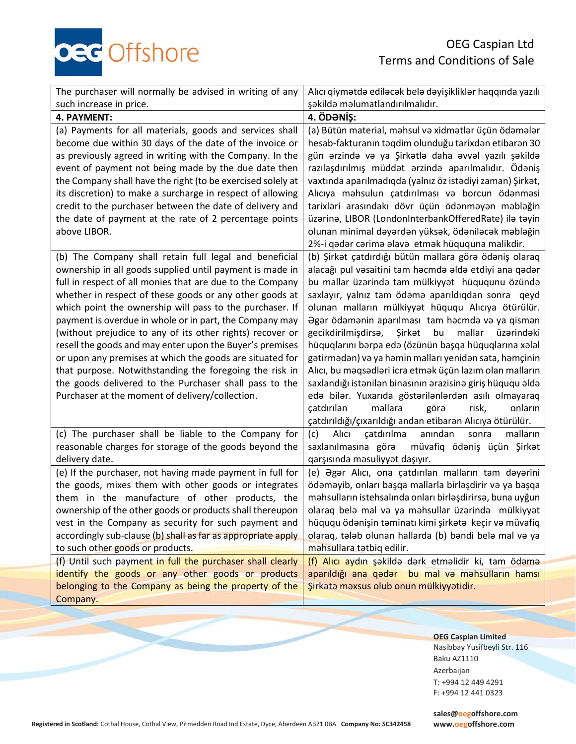OEG Caspian Ltd Terms and Conditions of Sale

| <b>OEC</b> Offshore |  |
|---------------------|--|
|---------------------|--|

| The purchaser will normally be advised in writing of any                                                                                                                                                                                                                                                                                                                                                                                                                                                                                                                                                                                                                                                                       | Alıcı qiymətdə ediləcək belə dəyişikliklər haqqında yazılı                                                                                                                                                                                                                                                                                                                                                                                                                                                                                                                                                                                                                                                                                                                                                                                                                     |
|--------------------------------------------------------------------------------------------------------------------------------------------------------------------------------------------------------------------------------------------------------------------------------------------------------------------------------------------------------------------------------------------------------------------------------------------------------------------------------------------------------------------------------------------------------------------------------------------------------------------------------------------------------------------------------------------------------------------------------|--------------------------------------------------------------------------------------------------------------------------------------------------------------------------------------------------------------------------------------------------------------------------------------------------------------------------------------------------------------------------------------------------------------------------------------------------------------------------------------------------------------------------------------------------------------------------------------------------------------------------------------------------------------------------------------------------------------------------------------------------------------------------------------------------------------------------------------------------------------------------------|
| such increase in price.                                                                                                                                                                                                                                                                                                                                                                                                                                                                                                                                                                                                                                                                                                        | şəkildə məlumatlandırılmalıdır.                                                                                                                                                                                                                                                                                                                                                                                                                                                                                                                                                                                                                                                                                                                                                                                                                                                |
| 4. PAYMENT:                                                                                                                                                                                                                                                                                                                                                                                                                                                                                                                                                                                                                                                                                                                    | 4. ÖDƏNİŞ:                                                                                                                                                                                                                                                                                                                                                                                                                                                                                                                                                                                                                                                                                                                                                                                                                                                                     |
| (a) Payments for all materials, goods and services shall<br>become due within 30 days of the date of the invoice or<br>as previously agreed in writing with the Company. In the<br>event of payment not being made by the due date then<br>the Company shall have the right (to be exercised solely at<br>its discretion) to make a surcharge in respect of allowing<br>credit to the purchaser between the date of delivery and<br>the date of payment at the rate of 2 percentage points                                                                                                                                                                                                                                     | (a) Bütün material, məhsul və xidmətlər üçün ödəmələr<br>hesab-fakturanın təqdim olunduğu tarixdən etibarən 30<br>gün arzinda va ya Şirkatla daha avval yazılı şakilda<br>razılaşdırılmış müddət ərzində aparılmalıdır. Ödəniş<br>vaxtında aparılmadıqda (yalnız öz istədiyi zaman) Şirkət,<br>Alıcıya məhsulun çatdırılması və borcun ödənməsi<br>tarixləri arasındakı dövr üçün ödənməyən məbləğin<br>üzərinə, LIBOR (LondonInterbankOfferedRate) ilə təyin                                                                                                                                                                                                                                                                                                                                                                                                                  |
| above LIBOR.                                                                                                                                                                                                                                                                                                                                                                                                                                                                                                                                                                                                                                                                                                                   | olunan minimal dəyərdən yüksək, ödəniləcək məbləğin                                                                                                                                                                                                                                                                                                                                                                                                                                                                                                                                                                                                                                                                                                                                                                                                                            |
| (b) The Company shall retain full legal and beneficial<br>ownership in all goods supplied until payment is made in<br>full in respect of all monies that are due to the Company<br>whether in respect of these goods or any other goods at<br>which point the ownership will pass to the purchaser. If<br>payment is overdue in whole or in part, the Company may<br>(without prejudice to any of its other rights) recover or<br>resell the goods and may enter upon the Buyer's premises<br>or upon any premises at which the goods are situated for<br>that purpose. Notwithstanding the foregoing the risk in<br>the goods delivered to the Purchaser shall pass to the<br>Purchaser at the moment of delivery/collection. | 2%-i qədər cərimə əlavə etmək hüququna malikdir.<br>(b) Şirkət çatdırdığı bütün mallara görə ödəniş olaraq<br>alacağı pul vəsaitini tam həcmdə əldə etdiyi ana qədər<br>bu mallar üzərində tam mülkiyyət hüququnu özündə<br>saxlayır, yalnız tam ödəmə aparıldıqdan sonra qeyd<br>olunan malların mülkiyyət hüququ Alıcıya ötürülür.<br>Əgər ödəmənin aparılması tam həcmdə və ya qismən<br>Şirkət<br>bu<br>mallar<br>gecikdirilmişdirsə,<br>üzərindəki<br>hüquqlarını bərpa edə (özünün başqa hüquqlarına xələl<br>gətirmədən) və ya həmin malları yenidən sata, həmçinin<br>Alıcı, bu məqsədləri icra etmək üçün lazım olan malların<br>saxlandığı istənilən binasının ərazisinə giriş hüququ əldə<br>edə bilər. Yuxarıda göstərilənlərdən asılı olmayaraq<br>catdırılan<br>mallara<br>görə<br>risk,<br>onların<br>çatdırıldığı/çıxarıldığı andan etibarən Alıcıya ötürülür. |
| (c) The purchaser shall be liable to the Company for<br>reasonable charges for storage of the goods beyond the                                                                                                                                                                                                                                                                                                                                                                                                                                                                                                                                                                                                                 | Alıcı<br>çatdırılma<br>anından<br>malların<br>(c)<br>sonra<br>saxlanılmasına görə müvafiq ödəniş üçün Şirkət                                                                                                                                                                                                                                                                                                                                                                                                                                                                                                                                                                                                                                                                                                                                                                   |
| delivery date.                                                                                                                                                                                                                                                                                                                                                                                                                                                                                                                                                                                                                                                                                                                 | qarşısında məsuliyyət daşıyır.                                                                                                                                                                                                                                                                                                                                                                                                                                                                                                                                                                                                                                                                                                                                                                                                                                                 |
| (e) If the purchaser, not having made payment in full for                                                                                                                                                                                                                                                                                                                                                                                                                                                                                                                                                                                                                                                                      | (e) Əgər Alıcı, ona çatdırılan malların tam dəyərini                                                                                                                                                                                                                                                                                                                                                                                                                                                                                                                                                                                                                                                                                                                                                                                                                           |
| the goods, mixes them with other goods or integrates<br>them in the manufacture of other products, the                                                                                                                                                                                                                                                                                                                                                                                                                                                                                                                                                                                                                         | ödəməyib, onları başqa mallarla birləşdirir və ya başqa<br>məhsulların istehsalında onları birləşdirirsə, buna uyğun                                                                                                                                                                                                                                                                                                                                                                                                                                                                                                                                                                                                                                                                                                                                                           |
| ownership of the other goods or products shall thereupon                                                                                                                                                                                                                                                                                                                                                                                                                                                                                                                                                                                                                                                                       | olaraq belə mal və ya məhsullar üzərində mülkiyyət                                                                                                                                                                                                                                                                                                                                                                                                                                                                                                                                                                                                                                                                                                                                                                                                                             |
| vest in the Company as security for such payment and                                                                                                                                                                                                                                                                                                                                                                                                                                                                                                                                                                                                                                                                           | hüququ ödənişin təminatı kimi şirkətə keçir və müvafiq                                                                                                                                                                                                                                                                                                                                                                                                                                                                                                                                                                                                                                                                                                                                                                                                                         |
| accordingly sub-clause (b) shall as far as appropriate apply                                                                                                                                                                                                                                                                                                                                                                                                                                                                                                                                                                                                                                                                   | olaraq, tələb olunan hallarda (b) bəndi belə mal və ya                                                                                                                                                                                                                                                                                                                                                                                                                                                                                                                                                                                                                                                                                                                                                                                                                         |
| to such other goods or products.                                                                                                                                                                                                                                                                                                                                                                                                                                                                                                                                                                                                                                                                                               | mahsullara tatbiq edilir.                                                                                                                                                                                                                                                                                                                                                                                                                                                                                                                                                                                                                                                                                                                                                                                                                                                      |
| (f) Until such payment in full the purchaser shall clearly                                                                                                                                                                                                                                                                                                                                                                                                                                                                                                                                                                                                                                                                     | (f) Alıcı aydın şəkildə dərk etməlidir ki, tam ödəmə                                                                                                                                                                                                                                                                                                                                                                                                                                                                                                                                                                                                                                                                                                                                                                                                                           |
| identify the goods or any other goods or products                                                                                                                                                                                                                                                                                                                                                                                                                                                                                                                                                                                                                                                                              | aparıldığı ana qədər bu mal və məhsulların hamsı                                                                                                                                                                                                                                                                                                                                                                                                                                                                                                                                                                                                                                                                                                                                                                                                                               |
| belonging to the Company as being the property of the<br>Company.                                                                                                                                                                                                                                                                                                                                                                                                                                                                                                                                                                                                                                                              | Sirkata maxsus olub onun mülkiyyatidir.                                                                                                                                                                                                                                                                                                                                                                                                                                                                                                                                                                                                                                                                                                                                                                                                                                        |
|                                                                                                                                                                                                                                                                                                                                                                                                                                                                                                                                                                                                                                                                                                                                |                                                                                                                                                                                                                                                                                                                                                                                                                                                                                                                                                                                                                                                                                                                                                                                                                                                                                |

**OEG Caspian Limited** Nasibbay Yusifbeyli Str. 116 Baku AZ1110 Azerbaijan T: +994 12 449 4291 F: +994 12 441 0323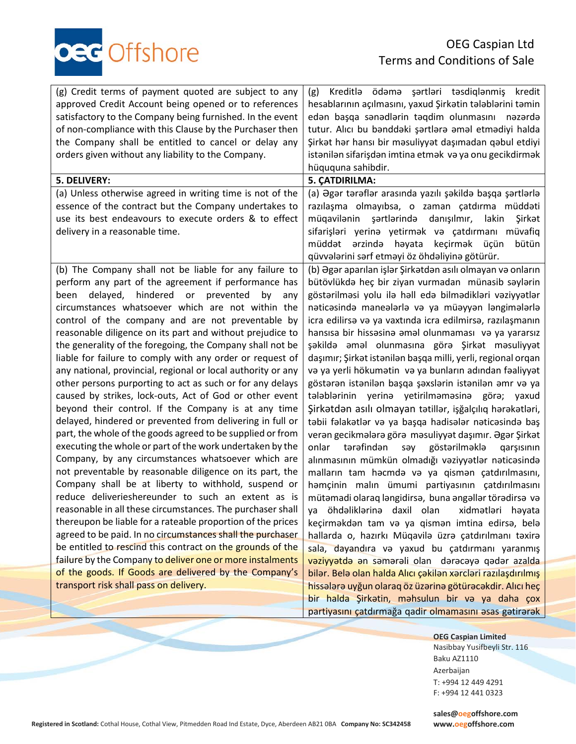of non-compliance with this Clause by the Purchaser then the Company shall be entitled to cancel or delay any orders given without any liability to the Company. **5. DELIVERY: 5. ÇATDIRILMA:** (a) Unless otherwise agreed in writing time is not of the essence of the contract but the Company undertakes to use its best endeavours to execute orders & to effect

delivery in a reasonable time.

(g) Credit terms of payment quoted are subject to any approved Credit Account being opened or to references satisfactory to the Company being furnished. In the event

c Offshore

(b) The Company shall not be liable for any failure to perform any part of the agreement if performance has been delayed, hindered or prevented by any circumstances whatsoever which are not within the control of the company and are not preventable by reasonable diligence on its part and without prejudice to the generality of the foregoing, the Company shall not be liable for failure to comply with any order or request of any national, provincial, regional or local authority or any other persons purporting to act as such or for any delays caused by strikes, lock-outs, Act of God or other event beyond their control. If the Company is at any time delayed, hindered or prevented from delivering in full or part, the whole of the goods agreed to be supplied or from executing the whole or part of the work undertaken by the Company, by any circumstances whatsoever which are not preventable by reasonable diligence on its part, the Company shall be at liberty to withhold, suspend or reduce deliverieshereunder to such an extent as is reasonable in all these circumstances. The purchaser shall thereupon be liable for a rateable proportion of the prices agreed to be paid. In no circumstances shall the purchaser be entitled to rescind this contract on the grounds of the failure by the Company to deliver one or more instalments of the goods. If Goods are delivered by the Company's transport risk shall pass on delivery.

edən başqa sənədlərin təqdim olunmasını nəzərdə tutur. Alıcı bu bənddəki şərtlərə əməl etmədiyi halda Şirkət hər hansı bir məsuliyyət daşımadan qəbul etdiyi istənilən sifarişdən imtina etmək və ya onu gecikdirmək hüququna sahibdir. (а) Əgər tərəflər arasında yazılı şəkildə başqa şərtlərlə razılaşma olmayıbsa, o zaman çatdırma müddəti müqavilənin şərtlərində danışılmır, lakin Şirkət sifarişləri yerinə yetirmək və çatdırmanı müvafiq müddət ərzində həyata keçirmək üçün bütün qüvvələrini sərf etməyi öz öhdəliyinə götürür.

(g) Kreditlə ödəmə şərtləri təsdiqlənmiş kredit hesablarının açılmasını, yaxud Şirkətin tələblərini təmin

(b) Əgər aparılan işlər Şirkətdən asılı olmayan və onların bütövlükdə heç bir ziyan vurmadan münasib səylərin göstərilməsi yolu ilə həll edə bilmədikləri vəziyyətlər nəticəsində maneələrlə və ya müəyyən ləngimələrlə icra edilirsə və ya vaxtında icra edilmirsə, razılaşmanın hansısa bir hissəsinə əməl olunmaması və ya yararsız şəkildə əməl olunmasına görə Şirkət məsuliyyət daşımır; Şirkət istənilən başqa milli, yerli, regional orqan və ya yerli hökumətin və ya bunların adından fəaliyyət göstərən istənilən başqa şəxslərin istənilən əmr və ya tələblərinin yerinə yetirilməməsinə görə; yaxud Şirkətdən asılı olmayan tətillər, işğalçılıq hərəkətləri, təbii fəlakətlər və ya başqa hadisələr nəticəsində baş verən gecikmələrə görə məsuliyyət daşımır. Əgər Şirkət onlar tərəfindən səy göstərilməklə qarşısının alınmasının mümkün olmadığı vəziyyətlər nəticəsində malların tam həcmdə və ya qismən çatdırılmasını, həmçinin malın ümumi partiyasının çatdırılmasını mütəmadi olaraq ləngidirsə, buna əngəllər törədirsə və ya öhdəliklərinə daxil olan xidmətləri həyata keçirməkdən tam və ya qismən imtina edirsə, belə hallarda o, hazırkı Müqavilə üzrə çatdırılmanı təxirə sala, dayandıra və yaxud bu çatdırmanı yaranmış vəziyyətdə ən səmərəli olan dərəcəyə qədər azalda bilər. Belə olan halda Alıcı çəkilən xərcləri razılaşdırılmış hissələrə uyğun olaraq öz üzərinə götürəcəkdir. Alıcı heç bir halda Şirkətin, məhsulun bir və ya daha çox partiyasını çatdırmağa qadir olmamasını əsas gətirərək

> **OEG Caspian Limited** Nasibbay Yusifbeyli Str. 116 Baku AZ1110 Azerbaijan T: +994 12 449 4291

**Registered in Scotland:** Cothal House, Cothal View, Pitmedden Road Ind Estate, Dyce, Aberdeen AB21 0BA **Company No: SC342458 www.oegoffshore.com**

**[sales@oegoffshore.com](mailto:sales@oegoffshore.com)**

F: +994 12 441 0323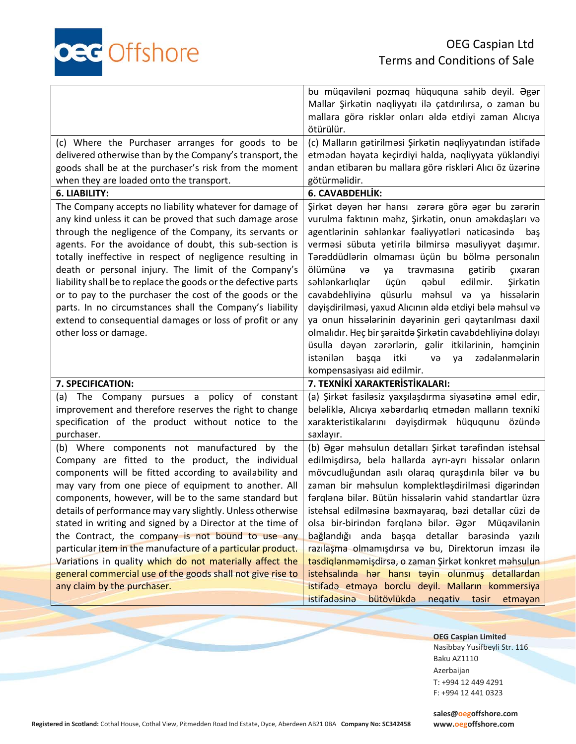

|                                                                                                                                                                                                                                                                                                                                                                                                                                                                                                                                                                                                                                            | bu müqaviləni pozmaq hüququna sahib deyil. Əgər<br>Mallar Şirkətin nəqliyyatı ilə çatdırılırsa, o zaman bu<br>mallara görə risklər onları əldə etdiyi zaman Alıcıya<br>ötürülür.                                                                                                                                                                                                                                                                                                                                                                                                                                                                                                                                                                                                                        |
|--------------------------------------------------------------------------------------------------------------------------------------------------------------------------------------------------------------------------------------------------------------------------------------------------------------------------------------------------------------------------------------------------------------------------------------------------------------------------------------------------------------------------------------------------------------------------------------------------------------------------------------------|---------------------------------------------------------------------------------------------------------------------------------------------------------------------------------------------------------------------------------------------------------------------------------------------------------------------------------------------------------------------------------------------------------------------------------------------------------------------------------------------------------------------------------------------------------------------------------------------------------------------------------------------------------------------------------------------------------------------------------------------------------------------------------------------------------|
| (c) Where the Purchaser arranges for goods to be<br>delivered otherwise than by the Company's transport, the<br>goods shall be at the purchaser's risk from the moment<br>when they are loaded onto the transport.                                                                                                                                                                                                                                                                                                                                                                                                                         | (c) Malların gətirilməsi Şirkətin nəqliyyatından istifadə<br>etmədən həyata keçirdiyi halda, nəqliyyata yükləndiyi<br>andan etibarən bu mallara görə riskləri Alıcı öz üzərinə<br>götürməlidir.                                                                                                                                                                                                                                                                                                                                                                                                                                                                                                                                                                                                         |
| 6. LIABILITY:                                                                                                                                                                                                                                                                                                                                                                                                                                                                                                                                                                                                                              | 6. CAVABDEHLİK:                                                                                                                                                                                                                                                                                                                                                                                                                                                                                                                                                                                                                                                                                                                                                                                         |
| The Company accepts no liability whatever for damage of<br>any kind unless it can be proved that such damage arose<br>through the negligence of the Company, its servants or<br>agents. For the avoidance of doubt, this sub-section is<br>totally ineffective in respect of negligence resulting in<br>death or personal injury. The limit of the Company's<br>liability shall be to replace the goods or the defective parts<br>or to pay to the purchaser the cost of the goods or the<br>parts. In no circumstances shall the Company's liability<br>extend to consequential damages or loss of profit or any<br>other loss or damage. | Şirkət dəyən hər hansı zərərə görə əgər bu zərərin<br>vurulma faktının məhz, Şirkətin, onun əməkdaşları və<br>agentlarinin sahlankar faaliyyatlari naticasinda<br>baş<br>verməsi sübuta yetirilə bilmirsə məsuliyyət daşımır.<br>Tərəddüdlərin olmaması üçün bu bölmə personalın<br>ölümünə<br>ya<br>travmasına<br>gətirib<br>və<br>cixaran<br>səhlənkarlıqlar<br>üçün<br>qəbul<br>edilmir.<br>Şirkətin<br>cavabdehliyina<br>qüsurlu məhsul və ya<br>hissələrin<br>dəyişdirilməsi, yaxud Alıcının əldə etdiyi belə məhsul və<br>ya onun hissalarinin dayarinin geri qaytarılması daxil<br>olmalıdır. Heç bir şəraitdə Şirkətin cavabdehliyinə dolayı<br>üsulla dəyən zərərlərin, gəlir itkilərinin, həmçinin<br>itki<br>istanilan<br>zədələnmələrin<br>başqa<br>GV<br>ya<br>kompensasiyası aid edilmir. |
| 7. SPECIFICATION:                                                                                                                                                                                                                                                                                                                                                                                                                                                                                                                                                                                                                          | 7. TEXNİKİ XARAKTERİSTİKALARI:                                                                                                                                                                                                                                                                                                                                                                                                                                                                                                                                                                                                                                                                                                                                                                          |
| (a) The Company pursues a policy of constant<br>improvement and therefore reserves the right to change<br>specification of the product without notice to the<br>purchaser.                                                                                                                                                                                                                                                                                                                                                                                                                                                                 | (a) Şirkət fasiləsiz yaxşılaşdırma siyasətinə əməl edir,<br>belalikla, Alıcıya xabardarlıq etmadan malların texniki<br>xarakteristikalarını dəyişdirmək hüququnu özündə<br>saxlayır.                                                                                                                                                                                                                                                                                                                                                                                                                                                                                                                                                                                                                    |
| (b) Where components not manufactured by the<br>Company are fitted to the product, the individual<br>components will be fitted according to availability and<br>may vary from one piece of equipment to another. All<br>components, however, will be to the same standard but<br>details of performance may vary slightly. Unless otherwise<br>stated in writing and signed by a Director at the time of<br>the Contract, the company is not bound to use any<br>particular item in the manufacture of a particular product.                                                                                                               | (b) Əgər məhsulun detalları Şirkət tərəfindən istehsal<br>edilmişdirsə, belə hallarda ayrı-ayrı hissələr onların<br>mövcudluğundan asılı olaraq quraşdırıla bilər və bu<br>zaman bir məhsulun komplektləşdirilməsi digərindən<br>fərqlənə bilər. Bütün hissələrin vahid standartlar üzrə<br>istehsal edilməsinə baxmayaraq, bəzi detallar cüzi də<br>olsa bir-birindən fərqlənə bilər. Əgər<br>Müqavilənin<br>bağlandığı anda başqa detallar barasində yazılı                                                                                                                                                                                                                                                                                                                                           |
| Variations in quality which do not materially affect the<br>general commercial use of the goods shall not give rise to<br>any claim by the purchaser.                                                                                                                                                                                                                                                                                                                                                                                                                                                                                      | razılaşma olmamışdırsa və bu, Direktorun imzası ilə<br>tasdiqlanmamişdirsa, o zaman Şirkat konkret mahsulun<br>istehsalında hər hansı təyin olunmuş detallardan<br>istifada etmaya borclu deyil. Malların kommersiya                                                                                                                                                                                                                                                                                                                                                                                                                                                                                                                                                                                    |

**OEG Caspian Limited** Nasibbay Yusifbeyli Str. 116 Baku AZ1110 Azerbaijan T: +994 12 449 4291 F: +994 12 441 0323

**Registered in Scotland:** Cothal House, Cothal View, Pitmedden Road Ind Estate, Dyce, Aberdeen AB21 0BA **Company No: SC342458 www.oegoffshore.com**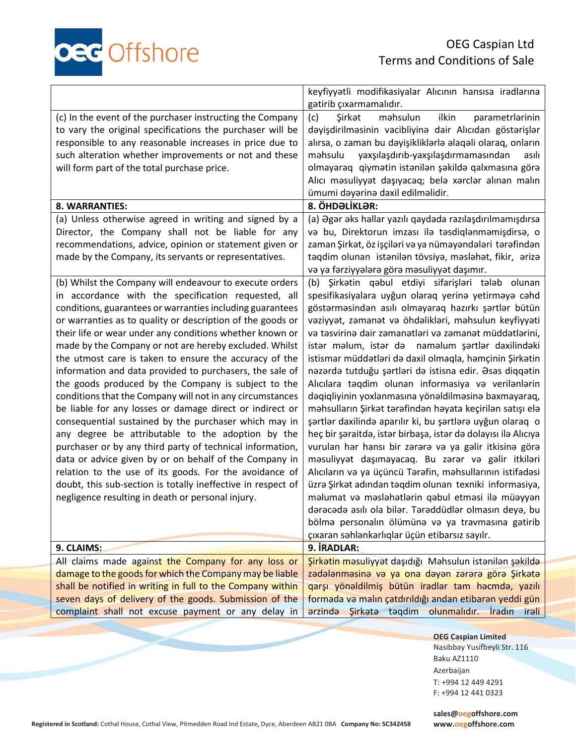

|                                                              | keyfiyyətli modifikasiyalar Alıcının hansısa iradlarına<br>gətirib çıxarmamalıdır. |
|--------------------------------------------------------------|------------------------------------------------------------------------------------|
|                                                              |                                                                                    |
| (c) In the event of the purchaser instructing the Company    | ilkin<br>(c)<br>Şirkət<br>məhsulun<br>parametrlarinin                              |
| to vary the original specifications the purchaser will be    | dəyişdirilməsinin vacibliyinə dair Alıcıdan göstərişlər                            |
| responsible to any reasonable increases in price due to      | alırsa, o zaman bu dəyişikliklərlə əlaqəli olaraq, onların                         |
| such alteration whether improvements or not and these        | yaxşılaşdırıb-yaxşılaşdırmamasından<br>məhsulu<br>asılı                            |
| will form part of the total purchase price.                  | olmayaraq qiymətin istənilən şəkildə qalxmasına görə                               |
|                                                              |                                                                                    |
|                                                              | Alıcı məsuliyyət daşıyacaq; belə xərclər alınan malın                              |
|                                                              | ümumi dəyərinə daxil edilməlidir.                                                  |
| 8. WARRANTIES:                                               | 8. ÖHDƏLİKLƏR:                                                                     |
| (a) Unless otherwise agreed in writing and signed by a       | (a) Əgər əks hallar yazılı qaydada razılaşdırılmamışdırsa                          |
| Director, the Company shall not be liable for any            | va bu, Direktorun imzası ilə təsdiqlənməmişdirsə, o                                |
| recommendations, advice, opinion or statement given or       | zaman Şirkət, öz işçiləri və ya nümayəndələri tərəfindən                           |
| made by the Company, its servants or representatives.        | təqdim olunan istənilən tövsiyə, məsləhət, fikir, ərizə                            |
|                                                              | və ya fərziyyələrə görə məsuliyyət daşımır.                                        |
|                                                              | (b) Şirkətin qəbul etdiyi sifarişləri tələb olunan                                 |
| (b) Whilst the Company will endeavour to execute orders      |                                                                                    |
| in accordance with the specification requested, all          | spesifikasiyalara uyğun olaraq yerinə yetirməyə cəhd                               |
| conditions, guarantees or warranties including guarantees    | göstərməsindən asılı olmayaraq hazırkı şərtlər bütün                               |
| or warranties as to quality or description of the goods or   | vaziyyat, zamanat va öhdaliklari, mahsulun keyfiyyati                              |
| their life or wear under any conditions whether known or     | və təsvirinə dair zəmanətləri və zəmanət müddətlərini,                             |
| made by the Company or not are hereby excluded. Whilst       | istar malum, istar da namalum şartlar daxilindaki                                  |
| the utmost care is taken to ensure the accuracy of the       | istismar müddətləri də daxil olmaqla, həmçinin Şirkətin                            |
| information and data provided to purchasers, the sale of     | nəzərdə tutduğu şərtləri də istisna edir. Əsas diqqətin                            |
|                                                              |                                                                                    |
| the goods produced by the Company is subject to the          | Alıcılara təqdim olunan informasiya və verilənlərin                                |
| conditions that the Company will not in any circumstances    | daqiqliyinin yoxlanmasına yönəldilməsinə baxmayaraq,                               |
| be liable for any losses or damage direct or indirect or     | məhsulların Şirkət tərəfindən həyata keçirilən satışı elə                          |
| consequential sustained by the purchaser which may in        | şərtlər daxilində aparılır ki, bu şərtlərə uyğun olaraq o                          |
| any degree be attributable to the adoption by the            | heç bir şəraitdə, istər birbaşa, istər də dolayısı ilə Alıcıya                     |
| purchaser or by any third party of technical information,    | vurulan hər hansı bir zərərə və ya gəlir itkisinə görə                             |
| data or advice given by or on behalf of the Company in       | məsuliyyət daşımayacaq. Bu zərər və gəlir itkiləri                                 |
|                                                              |                                                                                    |
| relation to the use of its goods. For the avoidance of       | Alıcıların və ya üçüncü Tərəfin, məhsullarının istifadəsi                          |
| doubt, this sub-section is totally ineffective in respect of | üzrə Şirkət adından təqdim olunan texniki informasiya,                             |
| negligence resulting in death or personal injury.            | məlumat və məsləhətlərin qəbul etməsi ilə müəyyən                                  |
|                                                              | dərəcədə asılı ola bilər. Tərəddüdlər olmasın deyə, bu                             |
|                                                              | bölmə personalın ölümünə və ya travmasına gətirib                                  |
|                                                              | çıxaran səhlənkarlıqlar üçün etibarsız sayılr.                                     |
| 9. CLAIMS:                                                   | 9. İRADLAR:                                                                        |
| All claims made against the Company for any loss or          | Sirkatin məsuliyyət daşıdığı Məhsulun istənilən şəkildə                            |
| damage to the goods for which the Company may be liable      | zadalanmasina va ya ona dayan zarara göra Şirkata                                  |
| shall be notified in writing in full to the Company within   | qarşı yönəldilmiş bütün iradlar tam həcmdə, yazılı                                 |
| seven days of delivery of the goods. Submission of the       | formada və malın çatdırıldığı andan etibarən yeddi gün                             |
| complaint shall not excuse payment or any delay in           | arzinda Şirkətə təqdim olunmalıdır. İradın irəli                                   |
|                                                              |                                                                                    |

**OEG Caspian Limited** Nasibbay Yusifbeyli Str. 116 Baku AZ1110 Azerbaijan T: +994 12 449 4291 F: +994 12 441 0323

**Registered in Scotland:** Cothal House, Cothal View, Pitmedden Road Ind Estate, Dyce, Aberdeen AB21 0BA **Company No: SC342458 www.oegoffshore.com**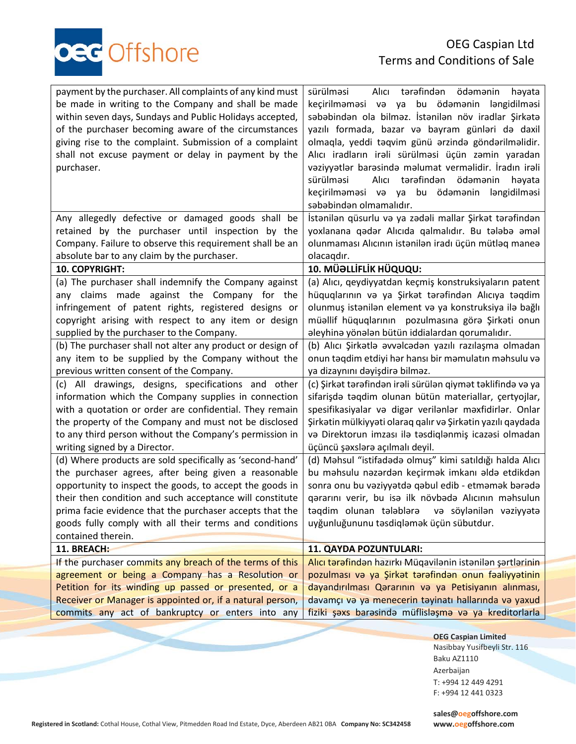

| payment by the purchaser. All complaints of any kind must<br>be made in writing to the Company and shall be made<br>within seven days, Sundays and Public Holidays accepted,<br>of the purchaser becoming aware of the circumstances<br>giving rise to the complaint. Submission of a complaint<br>shall not excuse payment or delay in payment by the<br>purchaser. | sürülməsi<br>Alıcı tərəfindən ödəmənin<br>həyata<br>keçirilməməsi və ya bu ödəmənin ləngidilməsi<br>səbəbindən ola bilməz. İstənilən növ iradlar Şirkətə<br>yazılı formada, bazar və bayram günləri də daxil<br>olmaqla, yeddi təqvim günü ərzində göndərilməlidir.<br>Alıcı iradların irali sürülməsi üçün zəmin yaradan<br>vəziyyətlər barəsində məlumat verməlidir. İradın irəli<br>Alıcı tərəfindən ödəmənin<br>sürülməsi<br>həyata<br>keçirilməməsi və ya bu ödəmənin<br>ləngidilməsi<br>səbəbindən olmamalıdır. |
|----------------------------------------------------------------------------------------------------------------------------------------------------------------------------------------------------------------------------------------------------------------------------------------------------------------------------------------------------------------------|-----------------------------------------------------------------------------------------------------------------------------------------------------------------------------------------------------------------------------------------------------------------------------------------------------------------------------------------------------------------------------------------------------------------------------------------------------------------------------------------------------------------------|
| Any allegedly defective or damaged goods shall be                                                                                                                                                                                                                                                                                                                    | İstənilən qüsurlu və ya zədəli mallar Şirkət tərəfindən                                                                                                                                                                                                                                                                                                                                                                                                                                                               |
| retained by the purchaser until inspection by the                                                                                                                                                                                                                                                                                                                    | yoxlanana qədər Alıcıda qalmalıdır. Bu tələbə əməl                                                                                                                                                                                                                                                                                                                                                                                                                                                                    |
| Company. Failure to observe this requirement shall be an                                                                                                                                                                                                                                                                                                             | olunmaması Alıcının istənilən iradı üçün mütləq maneə                                                                                                                                                                                                                                                                                                                                                                                                                                                                 |
| absolute bar to any claim by the purchaser.                                                                                                                                                                                                                                                                                                                          | olacaqdır.                                                                                                                                                                                                                                                                                                                                                                                                                                                                                                            |
| 10. COPYRIGHT:                                                                                                                                                                                                                                                                                                                                                       | 10. MÜƏLLİFLİK HÜQUQU:                                                                                                                                                                                                                                                                                                                                                                                                                                                                                                |
| (a) The purchaser shall indemnify the Company against                                                                                                                                                                                                                                                                                                                | (a) Alıcı, qeydiyyatdan keçmiş konstruksiyaların patent                                                                                                                                                                                                                                                                                                                                                                                                                                                               |
| any claims made against the Company for the                                                                                                                                                                                                                                                                                                                          | hüquqlarının və ya Şirkət tərəfindən Alıcıya təqdim                                                                                                                                                                                                                                                                                                                                                                                                                                                                   |
| infringement of patent rights, registered designs or                                                                                                                                                                                                                                                                                                                 | olunmuş istənilən element və ya konstruksiya ilə bağlı                                                                                                                                                                                                                                                                                                                                                                                                                                                                |
| copyright arising with respect to any item or design                                                                                                                                                                                                                                                                                                                 | müəllif hüquqlarının pozulmasına görə Şirkəti onun                                                                                                                                                                                                                                                                                                                                                                                                                                                                    |
| supplied by the purchaser to the Company.                                                                                                                                                                                                                                                                                                                            | əleyhinə yönələn bütün iddialardan qorumalıdır.                                                                                                                                                                                                                                                                                                                                                                                                                                                                       |
| (b) The purchaser shall not alter any product or design of                                                                                                                                                                                                                                                                                                           | (b) Alıcı Şirkətlə əvvəlcədən yazılı razılaşma olmadan                                                                                                                                                                                                                                                                                                                                                                                                                                                                |
| any item to be supplied by the Company without the                                                                                                                                                                                                                                                                                                                   | onun taqdim etdiyi har hansı bir mamulatın mahsulu va                                                                                                                                                                                                                                                                                                                                                                                                                                                                 |
| previous written consent of the Company.                                                                                                                                                                                                                                                                                                                             | ya dizaynını dəyişdirə bilməz.                                                                                                                                                                                                                                                                                                                                                                                                                                                                                        |
| (c) All drawings, designs, specifications and other                                                                                                                                                                                                                                                                                                                  | (c) Şirkət tərəfindən irəli sürülən qiymət təklifində və ya                                                                                                                                                                                                                                                                                                                                                                                                                                                           |
| information which the Company supplies in connection                                                                                                                                                                                                                                                                                                                 | sifarişdə təqdim olunan bütün materiallar, çertyojlar,                                                                                                                                                                                                                                                                                                                                                                                                                                                                |
| with a quotation or order are confidential. They remain                                                                                                                                                                                                                                                                                                              | spesifikasiyalar və digər verilənlər məxfidirlər. Onlar                                                                                                                                                                                                                                                                                                                                                                                                                                                               |
| the property of the Company and must not be disclosed                                                                                                                                                                                                                                                                                                                | Şirkətin mülkiyyəti olaraq qalır və Şirkətin yazılı qaydada                                                                                                                                                                                                                                                                                                                                                                                                                                                           |
| to any third person without the Company's permission in                                                                                                                                                                                                                                                                                                              | və Direktorun imzası ilə təsdiqlənmiş icazəsi olmadan                                                                                                                                                                                                                                                                                                                                                                                                                                                                 |
| writing signed by a Director.                                                                                                                                                                                                                                                                                                                                        | üçüncü şəxslərə açılmalı deyil.                                                                                                                                                                                                                                                                                                                                                                                                                                                                                       |
| (d) Where products are sold specifically as 'second-hand'                                                                                                                                                                                                                                                                                                            | (d) Məhsul "istifadədə olmuş" kimi satıldığı halda Alıcı                                                                                                                                                                                                                                                                                                                                                                                                                                                              |
| the purchaser agrees, after being given a reasonable                                                                                                                                                                                                                                                                                                                 | bu məhsulu nəzərdən keçirmək imkanı əldə etdikdən                                                                                                                                                                                                                                                                                                                                                                                                                                                                     |
| opportunity to inspect the goods, to accept the goods in                                                                                                                                                                                                                                                                                                             | sonra onu bu vəziyyətdə qəbul edib - etməmək bərədə                                                                                                                                                                                                                                                                                                                                                                                                                                                                   |
| their then condition and such acceptance will constitute                                                                                                                                                                                                                                                                                                             | qərarını verir, bu isə ilk növbədə Alıcının məhsulun                                                                                                                                                                                                                                                                                                                                                                                                                                                                  |
| prima facie evidence that the purchaser accepts that the                                                                                                                                                                                                                                                                                                             | təqdim olunan tələblərə                                                                                                                                                                                                                                                                                                                                                                                                                                                                                               |
| goods fully comply with all their terms and conditions                                                                                                                                                                                                                                                                                                               | və söylənilən vəziyyətə                                                                                                                                                                                                                                                                                                                                                                                                                                                                                               |
| contained therein.                                                                                                                                                                                                                                                                                                                                                   | uyğunluğununu təsdiqləmək üçün sübutdur.                                                                                                                                                                                                                                                                                                                                                                                                                                                                              |
| 11. BREACH:                                                                                                                                                                                                                                                                                                                                                          | 11. QAYDA POZUNTULARI:                                                                                                                                                                                                                                                                                                                                                                                                                                                                                                |
| If the purchaser commits any breach of the terms of this                                                                                                                                                                                                                                                                                                             | Alıcı tərəfindən hazırkı Müqavilənin istənilən şərtlərinin                                                                                                                                                                                                                                                                                                                                                                                                                                                            |
| agreement or being a Company has a Resolution or                                                                                                                                                                                                                                                                                                                     | pozulması və ya Şirkət tərəfindən onun fəaliyyətinin                                                                                                                                                                                                                                                                                                                                                                                                                                                                  |
| Petition for its winding up passed or presented, or a                                                                                                                                                                                                                                                                                                                | dayandırılması Qərarının və ya Petisiyanın alınması,                                                                                                                                                                                                                                                                                                                                                                                                                                                                  |
| Receiver or Manager is appointed or, if a natural person,                                                                                                                                                                                                                                                                                                            | davamçı və ya menecerin təyinatı hallarında və yaxud                                                                                                                                                                                                                                                                                                                                                                                                                                                                  |
| commits any act of bankruptcy or enters into any                                                                                                                                                                                                                                                                                                                     | fiziki şaxs barasında müflisləşmə və ya kreditorlarla                                                                                                                                                                                                                                                                                                                                                                                                                                                                 |

**OEG Caspian Limited** Nasibbay Yusifbeyli Str. 116 Baku AZ1110 Azerbaijan T: +994 12 449 4291 F: +994 12 441 0323

**Registered in Scotland:** Cothal House, Cothal View, Pitmedden Road Ind Estate, Dyce, Aberdeen AB21 0BA **Company No: SC342458 www.oegoffshore.com**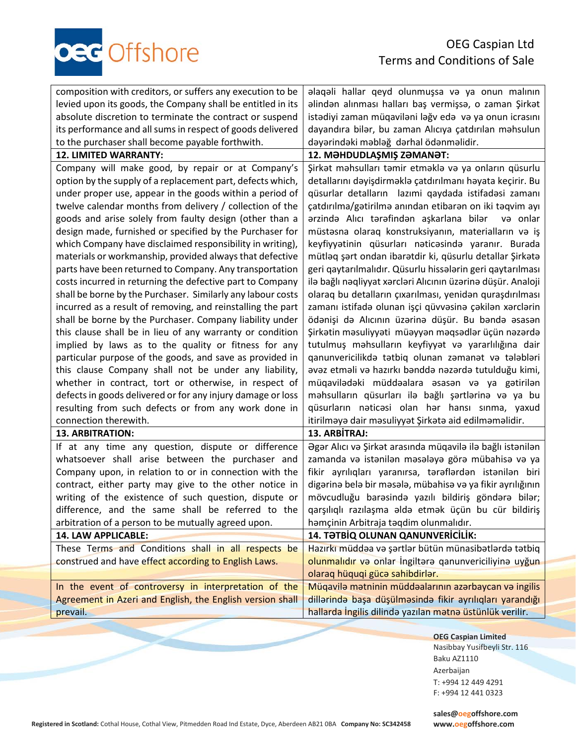oec Offshore

| composition with creditors, or suffers any execution to be  | alaqali hallar qeyd olunmuşsa va ya onun malının             |
|-------------------------------------------------------------|--------------------------------------------------------------|
| levied upon its goods, the Company shall be entitled in its | alindan alınması halları baş vermişsa, o zaman Şirkat        |
| absolute discretion to terminate the contract or suspend    | istadiyi zaman müqaviləni ləğv edə və ya onun icrasını       |
| its performance and all sums in respect of goods delivered  | dayandıra bilər, bu zaman Alıcıya çatdırılan məhsulun        |
| to the purchaser shall become payable forthwith.            | dəyərindəki məbləğ dərhal ödənməlidir.                       |
| 12. LIMITED WARRANTY:                                       | 12. MƏHDUDLAŞMIŞ ZƏMANƏT:                                    |
| Company will make good, by repair or at Company's           | Şirkət məhsulları təmir etməklə və ya onların qüsurlu        |
| option by the supply of a replacement part, defects which,  | detallarını dəyişdirməklə çatdırılmanı həyata keçirir. Bu    |
| under proper use, appear in the goods within a period of    | qüsurlar detalların lazımi qaydada istifadəsi zamanı         |
| twelve calendar months from delivery / collection of the    | çatdırılma/gətirilmə anından etibarən on iki təqvim ayı      |
| goods and arise solely from faulty design (other than a     | ərzində Alıcı tərəfindən aşkarlana bilər və onlar            |
| design made, furnished or specified by the Purchaser for    | müstəsna olaraq konstruksiyanın, materialların və iş         |
| which Company have disclaimed responsibility in writing),   | keyfiyyətinin qüsurları nəticəsində yaranır. Burada          |
| materials or workmanship, provided always that defective    | mütləq şərt ondan ibarətdir ki, qüsurlu detallar Şirkətə     |
| parts have been returned to Company. Any transportation     | geri qaytarılmalıdır. Qüsurlu hissələrin geri qaytarılması   |
| costs incurred in returning the defective part to Company   | ilə bağlı nəqliyyat xərcləri Alıcının üzərinə düşür. Analoji |
| shall be borne by the Purchaser. Similarly any labour costs | olaraq bu detalların çıxarılması, yenidən quraşdırılması     |
| incurred as a result of removing, and reinstalling the part | zamanı istifadə olunan işçi qüvvəsinə çəkilən xərclərin      |
| shall be borne by the Purchaser. Company liability under    | ödənişi də Alıcının üzərinə düşür. Bu bəndə əsasən           |
| this clause shall be in lieu of any warranty or condition   | Şirkətin məsuliyyəti müəyyən məqsədlər üçün nəzərdə          |
| implied by laws as to the quality or fitness for any        | tutulmuş məhsulların keyfiyyət və yararlılığına dair         |
| particular purpose of the goods, and save as provided in    | qanunvericilikda tatbiq olunan zamanat va talablari          |
| this clause Company shall not be under any liability,       | avaz etmali va hazırkı bandda nazarda tutulduğu kimi,        |
| whether in contract, tort or otherwise, in respect of       | müqavilədəki müddəalara əsasən və ya gətirilən               |
| defects in goods delivered or for any injury damage or loss | məhsulların qüsurları ilə bağlı şərtlərinə və ya bu          |
| resulting from such defects or from any work done in        | qüsurların nəticəsi olan hər hansı sınma, yaxud              |
| connection therewith.                                       | itirilməyə dair məsuliyyət Şirkətə aid edilməməlidir.        |
| <b>13. ARBITRATION:</b>                                     | 13. ARBİTRAJ:                                                |
| If at any time any question, dispute or difference          | Əgər Alıcı və Şirkət arasında müqavilə ilə bağlı istənilən   |
| whatsoever shall arise between the purchaser and            | zamanda və istənilən məsələyə görə mübahisə və ya            |
| Company upon, in relation to or in connection with the      | fikir ayrılıqları yaranırsa, tərəflərdən istənilən biri      |
| contract, either party may give to the other notice in      | digərinə belə bir məsələ, mübahisə və ya fikir ayrılığının   |
| writing of the existence of such question, dispute or       | mövcudluğu barasinda yazılı bildiriş göndərə bilər;          |
| difference, and the same shall be referred to the           | qarşılıqlı razılaşma əldə etmək üçün bu cür bildiriş         |
| arbitration of a person to be mutually agreed upon.         | həmçinin Arbitraja təqdim olunmalıdır.                       |
| <b>14. LAW APPLICABLE:</b>                                  | 14. TƏTBİQ OLUNAN QANUNVERİCİLİK:                            |
| These Terms and Conditions shall in all respects be         | Hazırkı müddəa və şərtlər bütün münasibətlərdə tətbiq        |
| construed and have effect according to English Laws.        | olunmalıdır və onlar İngiltərə qanunvericiliyinə uyğun       |
|                                                             | olaraq hüquqi gücə sahibdirlər.                              |
| In the event of controversy in interpretation of the        | Müqavilə mətninin müddəalarının azərbaycan və ingilis        |
| Agreement in Azeri and English, the English version shall   | dillərində başa düşülməsində fikir ayrılıqları yarandığı     |
| prevail.                                                    | hallarda İngilis dilində yazılan mətnə üstünlük verilir.     |

**OEG Caspian Limited** Nasibbay Yusifbeyli Str. 116 Baku AZ1110 Azerbaijan T: +994 12 449 4291 F: +994 12 441 0323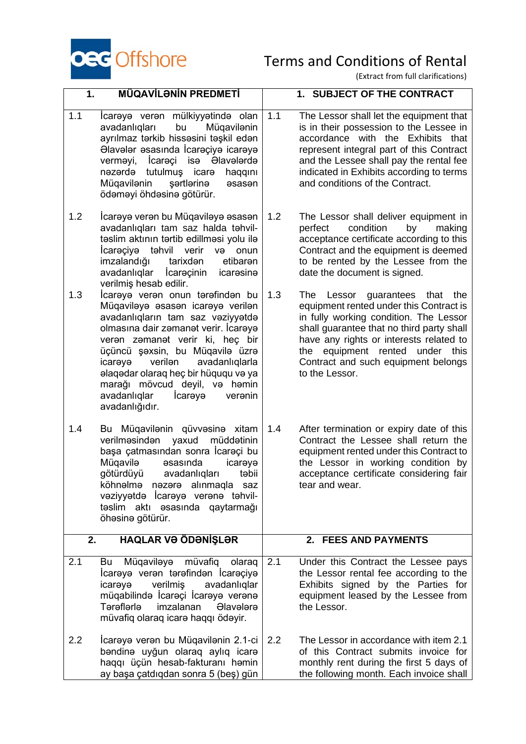

| 1.  | <b>MÜQAVİLƏNİN PREDMETİ</b>                                                                                                                                                                                                                                                                                                                                                                       |     | 1. SUBJECT OF THE CONTRACT                                                                                                                                                                                                                                                                                       |
|-----|---------------------------------------------------------------------------------------------------------------------------------------------------------------------------------------------------------------------------------------------------------------------------------------------------------------------------------------------------------------------------------------------------|-----|------------------------------------------------------------------------------------------------------------------------------------------------------------------------------------------------------------------------------------------------------------------------------------------------------------------|
| 1.1 | İcarəyə verən mülkiyyətində olan<br>avadanlıqları<br>bu<br>Müqavilənin<br>ayrılmaz tərkib hissəsini təşkil edən<br>Əlavələr əsasında İcarəçiyə icarəyə<br>İcarəçi<br><b>Olavelerde</b><br>isə<br>verməyi,<br>tutulmuş<br>nəzərdə<br>icare<br>haqqını<br>Müqavilənin<br>şərtlərinə<br>asasan<br>ödəməyi öhdəsinə götürür.                                                                          | 1.1 | The Lessor shall let the equipment that<br>is in their possession to the Lessee in<br>accordance with the Exhibits<br>that<br>represent integral part of this Contract<br>and the Lessee shall pay the rental fee<br>indicated in Exhibits according to terms<br>and conditions of the Contract.                 |
| 1.2 | İcarəyə verən bu Müqaviləyə əsasən<br>avadanlıqları tam saz halda təhvil-<br>təslim aktının tərtib edillməsi yolu ilə<br>təhvil verir<br>Icarəçiyə<br>və<br>onun<br>imzalandığı<br>tarixden<br>etibaren<br>avadanlıqlar<br>lcareçinin<br>icaresine<br>verilmiş hesab edilir.                                                                                                                      | 1.2 | The Lessor shall deliver equipment in<br>condition<br>perfect<br>by<br>making<br>acceptance certificate according to this<br>Contract and the equipment is deemed<br>to be rented by the Lessee from the<br>date the document is signed.                                                                         |
| 1.3 | Icareye veren onun terefinden bu<br>Müqaviləyə əsasən icarəyə verilən<br>avadanlıqların tam saz vəziyyətdə<br>olmasına dair zəmanət verir. İcarəyə<br>veran zamanat verir ki, heç bir<br>üçüncü şəxsin, bu Müqavilə üzrə<br>verilen<br>avadanlıqlarla<br>icareye<br>alaqədar olaraq heç bir hüququ və ya<br>marağı mövcud deyil, və həmin<br>avadanlıqlar<br>Icareye<br>veranin<br>avadanlığıdır. | 1.3 | The Lessor guarantees that the<br>equipment rented under this Contract is<br>in fully working condition. The Lessor<br>shall guarantee that no third party shall<br>have any rights or interests related to<br>equipment rented<br>this<br>under<br>the<br>Contract and such equipment belongs<br>to the Lessor. |
| 1.4 | Bu Müqavilənin qüvvəsinə xitam<br>verilməsindən yaxud<br>müddətinin<br>başa çatmasından sonra İcareçi bu<br>Müqavilə<br><b>asasinda</b><br>icaraya<br>götürdüyü<br>avadanlıqları<br>təbii<br>köhnəlmə nəzərə alınmaqla saz<br>vəziyyətdə İcarəyə verənə təhvil-<br>təslim aktı əsasında qaytarmağı<br>öhəsinə götürür.                                                                            | 1.4 | After termination or expiry date of this<br>Contract the Lessee shall return the<br>equipment rented under this Contract to<br>the Lessor in working condition by<br>acceptance certificate considering fair<br>tear and wear.                                                                                   |
| 2.  | <b>HAQLAR VƏ ÖDƏNIŞLƏR</b>                                                                                                                                                                                                                                                                                                                                                                        |     | 2. FEES AND PAYMENTS                                                                                                                                                                                                                                                                                             |
| 2.1 | Müqaviləyə<br>müvafiq<br>olaraq<br>Bu<br>İcarəyə verən tərəfindən İcarəçiyə<br>verilmiş<br>avadanlıqlar<br>icaraya<br>müqabilində İcarəçi İcarəyə verənə<br><b>T</b> ərəflərlə<br>imzalanan<br><b>Olavelere</b><br>müvafiq olaraq icara haqqı ödəyir.                                                                                                                                             | 2.1 | Under this Contract the Lessee pays<br>the Lessor rental fee according to the<br>Exhibits signed by the Parties for<br>equipment leased by the Lessee from<br>the Lessor.                                                                                                                                        |
| 2.2 | İcarəyə verən bu Müqavilənin 2.1-ci<br>bandina uyğun olaraq aylıq icara<br>haqqı üçün hesab-fakturanı həmin<br>ay başa çatdıqdan sonra 5 (beş) gün                                                                                                                                                                                                                                                | 2.2 | The Lessor in accordance with item 2.1<br>of this Contract submits invoice for<br>monthly rent during the first 5 days of<br>the following month. Each invoice shall                                                                                                                                             |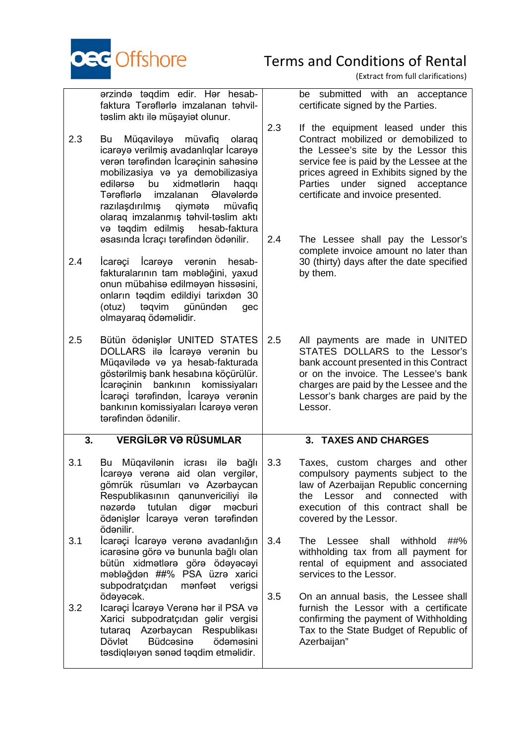

(Extract from full clarifications)

ərzində təqdim edir. Hər hesabfaktura Tərəflərlə imzalanan təhviltəslim aktı ilə müşayiət olunur.

- 2.3 Bu Müqaviləyə müvafiq olaraq icarəyə verilmiş avadanlıqlar İcarəyə verən tərəfindən İcarəçinin sahəsinə mobilizasiya və ya demobilizasiya edilərsə bu xidmətlərin haqqı<br>Tərəflərlə imzalanan Əlavələrdə imzalanan Əlavələrdə razılaşdırılmış qiymətə müvafiq olaraq imzalanmış təhvil-təslim aktı və təqdim edilmiş hesab-faktura əsasında İcraçı tərəfindən ödənilir.
- 2.4 İcarəçi İcarəyə verənin hesabfakturalarının tam məbləğini, yaxud onun mübahisə edilməyən hissəsini, onların təqdim edildiyi tarixdən 30 (otuz) təqvim günündən gec olmayaraq ödəməlidir.
- 2.5 Bütün ödənişlər UNITED STATES DOLLARS ilə İcarəyə verənin bu Müqavilədə və ya hesab-fakturada göstərilmiş bank hesabına köçürülür. İcarəçinin bankının komissiyaları İcarəçi tərəfindən, İcarəyə verənin bankının komissiyaları İcarəyə verən tərəfindən ödənilir.

### **3. VERGİLƏR VƏ RÜSUMLAR**

- 3.1 Bu Müqavilənin icrası ilə bağlı İcarəyə verənə aid olan vergilər, gömrük rüsumları və Azərbaycan Respublikasının qanunvericiliyi ilə nəzərdə tutulan digər məcburi ödənişlər İcarəyə verən tərəfindən ödənilir.
- 3.1 İcarəçi İcarəyə verənə avadanlığın icarəsinə görə və bununla bağlı olan bütün xidmətlərə görə ödəyəcəyi məbləğdən ##% PSA üzrə xarici subpodratçıdan mənfəət verigsi ödəyəcək.
- 3.2 Icarəçi İcarəyə Verənə hər il PSA və Xarici subpodratçıdan gəlir vergisi tutaraq Azərbaycan Respublikası<br>Dövlət Büdcəsinə ödəməsini Dövlət Büdcəsinə təsdiqləıyən sənəd təqdim etməlidir.

be submitted with an acceptance certificate signed by the Parties.

- 2.3 If the equipment leased under this Contract mobilized or demobilized to the Lessee's site by the Lessor this service fee is paid by the Lessee at the prices agreed in Exhibits signed by the Parties under signed acceptance certificate and invoice presented.
- 2.4 The Lessee shall pay the Lessor's complete invoice amount no later than 30 (thirty) days after the date specified by them.
- 2.5 All payments are made in UNITED STATES DOLLARS to the Lessor's bank account presented in this Contract or on the invoice. The Lessee's bank charges are paid by the Lessee and the Lessor's bank charges are paid by the Lessor.

### **3. TAXES AND CHARGES**

- 3.3 Taxes, custom charges and other compulsory payments subject to the law of Azerbaijan Republic concerning the Lessor and connected with execution of this contract shall be covered by the Lessor.
- 3.4 The Lessee shall withhold ##% withholding tax from all payment for rental of equipment and associated services to the Lessor.
- 3.5 On an annual basis, the Lessee shall furnish the Lessor with a certificate confirming the payment of Withholding Tax to the State Budget of Republic of Azerbaijan"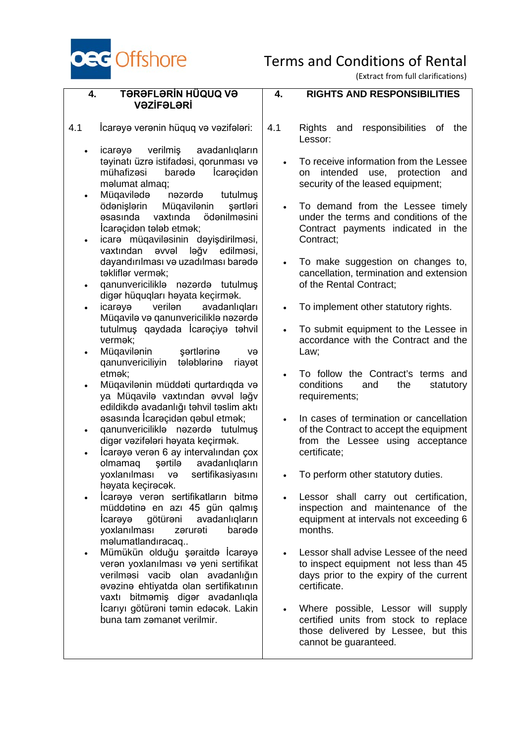

**4. RIGHTS AND RESPONSIBILITIES**

(Extract from full clarifications)

### **4. TƏRƏFLƏRİN HÜQUQ VƏ VƏZİFƏLƏRİ**

4.1 İcarәyә verənin hüquq və vəzifələri:

- icarəyə verilmiş avadanlıqların təyinatı üzrə istifadəsi, qorunması və<br>mühafizəsi barədə İcarəcidən İcarəçidən məlumat almaq;
- Müqavilədə nəzərdə tutulmuş ödənişlərin Müqavilənin şərtləri əsasında vaxtında ödənilməsini İcarəçidən tələb etmək;
- icarə müqaviləsinin dəyişdirilməsi, vaxtından əvvəl ləğv edilməsi, dayandırılması və uzadılması barədə təkliflər vermək;
- qanunvericiliklə nəzərdə tutulmuş digər hüquqları həyata keçirmək.<br>
icarəvə verilən avadanlıq
- icarəyə verilən avadanlıqları Müqavilə və qanunvericiliklə nəzərdə tutulmuş qaydada İcarəçiyə təhvil vermək;
- Müqavilənin sərtlərinə və qanunvericiliyin tələblərinə riayət etmək;
- Müqavilənin müddəti qurtardıqda və ya Müqavilə vaxtından əvvəl ləğv edildikdə avadanlığı təhvil təslim aktı əsasında İcarəçidən qəbul etmək;
- qanunvericiliklə nəzərdə tutulmuş digər vəzifələri həyata keçirmək.
- İcarəyə verən 6 ay intervalından çox olmamaq şərtilə avadanlıqların yoxlanılması və sertifikasiyasını həyata keçirəcək.
- İcarəyə verən sertifikatların bitmə müddətinə en azı 45 gün qalmış avadanlıqların yoxlanılması zərurəti barədə məlumatlandıracaq..
- Mümükün olduğu şəraitdə İcarəyə verən yoxlanılması və yeni sertifikat verilməsi vacib olan avadanlığın əvəzinə ehtiyatda olan sertifikatının vaxtı bitməmiş digər avadanlıqla İcarıyı götürəni təmin edəcək. Lakin buna tam zəmanət verilmir.
- 4.1 Rights and responsibilities of the Lessor:
	- To receive information from the Lessee on intended use, protection and security of the leased equipment;
	- To demand from the Lessee timely under the terms and conditions of the Contract payments indicated in the Contract;
	- To make suggestion on changes to, cancellation, termination and extension of the Rental Contract;
	- To implement other statutory rights.
	- To submit equipment to the Lessee in accordance with the Contract and the Law;
	- To follow the Contract's terms and conditions and the statutory requirements;
	- In cases of termination or cancellation of the Contract to accept the equipment from the Lessee using acceptance certificate;
	- To perform other statutory duties.
	- Lessor shall carry out certification, inspection and maintenance of the equipment at intervals not exceeding 6 months.
	- Lessor shall advise Lessee of the need to inspect equipment not less than 45 days prior to the expiry of the current certificate.
	- Where possible, Lessor will supply certified units from stock to replace those delivered by Lessee, but this cannot be guaranteed.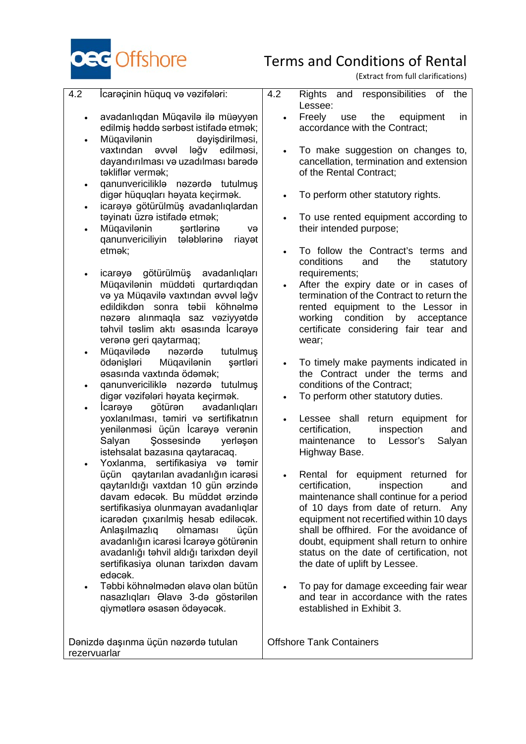

(Extract from full clarifications)

- 4.2 İcarәçinin hüquq və vəzifələri:
	- avadanlıqdan Müqavilə ilə müəyyən edilmiş həddə sərbəst istifadə etmək;
	- Müqavilənin dəyişdirilməsi, vaxtından əvvəl ləğv edilməsi, dayandırılması və uzadılması barədə təkliflər vermək;
	- qanunvericiliklə nəzərdə tutulmuş digər hüquqları həyata keçirmək.
	- icarəyə götürülmüş avadanlıqlardan təyinatı üzrə istifadə etmək;
	- Müqavilənin sərtlərinə və qanunvericiliyin tələblərinə riayət etmək;
	- icarəyə götürülmüş avadanlıqları Müqavilənin müddəti qurtardıqdan və ya Müqavilə vaxtından əvvəl ləğv edildikdən sonra təbii köhnəlmə nəzərə alınmaqla saz vəziyyətdə təhvil təslim aktı əsasında İcarəyə verənə geri qaytarmaq;
	- Müqavilədə nəzərdə tutulmuş ödənişləri Müqavilənin şərtləri əsasında vaxtında ödəmək;
	- qanunvericiliklə nəzərdə tutulmuş digər vəzifələri həyata keçirmək.
	- İcarəyə götürən avadanlıqları yoxlanılması, təmiri və sertifikatnın yenilənməsi üçün İcarəyə verənin Sossesində istehsalat bazasına qaytaracaq.
	- Yoxlanma, sertifikasiya və təmir üçün qaytarılan avadanlığın icarəsi qaytarıldığı vaxtdan 10 gün ərzində davam edəcək. Bu müddət ərzində sertifikasiya olunmayan avadanlıqlar icarədən çıxarılmiş hesab ediləcək. Anlaşılmazlıq olmaması üçün avadanlığın icarəsi İcarəyə götürənin avadanlığı təhvil aldığı tarixdən deyil sertifikasiya olunan tarixdən davam edəcək.
	- Təbbi köhnəlmədən əlavə olan bütün nasazlıqları Əlavə 3-də göstərilən qiymətlərə əsasən ödəyəcək.

Dənizdə daşınma üçün nəzərdə tutulan rezervuarlar

- 4.2 Rights and responsibilities of the Lessee:
	- Freely use the equipment in accordance with the Contract;
	- To make suggestion on changes to, cancellation, termination and extension of the Rental Contract;
	- To perform other statutory rights.
	- To use rented equipment according to their intended purpose;
	- To follow the Contract's terms and<br>conditions and the statutory conditions and the statutory requirements;
	- After the expiry date or in cases of termination of the Contract to return the rented equipment to the Lessor in working condition by acceptance certificate considering fair tear and wear;
	- To timely make payments indicated in the Contract under the terms and conditions of the Contract;
	- To perform other statutory duties.
	- Lessee shall return equipment for certification, inspection and maintenance to Lessor's Salyan Highway Base.
	- Rental for equipment returned for certification, inspection and maintenance shall continue for a period of 10 days from date of return. Any equipment not recertified within 10 days shall be offhired. For the avoidance of doubt, equipment shall return to onhire status on the date of certification, not the date of uplift by Lessee.
	- To pay for damage exceeding fair wear and tear in accordance with the rates established in Exhibit 3.

Offshore Tank Containers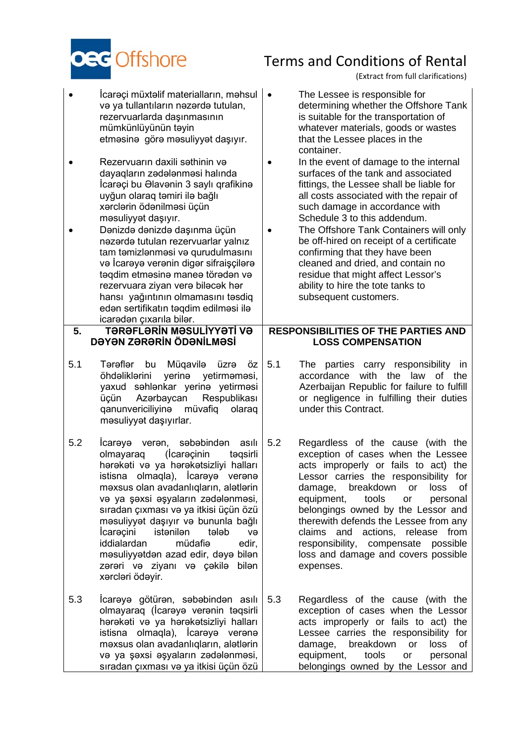

(Extract from full clarifications)

- İcarəçi müxtəlif materialların, məhsul və ya tullantıların nəzərdə tutulan, rezervuarlarda daşınmasının mümkünlüyünün təyin etməsinə görə məsuliyyət daşıyır.
- Rezervuarın daxili səthinin və dayaqların zədələnməsi halında İcarəçi bu Əlavənin 3 saylı qrafikinə uyğun olaraq təmiri ilə bağlı xərclərin ödənilməsi üçün məsuliyyət daşıyır.
- Dənizdə dənizdə daşınma üçün nəzərdə tutulan rezervuarlar yalnız tam təmizlənməsi və qurudulmasını və İcarəyə verənin digər sifraişçilərə təqdim etməsinə maneə törədən və rezervuara ziyan verə biləcək hər hansı yağıntının olmamasını təsdiq edən sertifikatın təqdim edilməsi ilə icarədən çıxarıla bilər.

### **5. TƏRƏFLƏRİN MƏSULİYYƏTİ VƏ DƏYƏN ZƏRƏRİN ÖDƏNİLMƏSİ**

- 5.1 Tərəflər bu Müqavilə üzrə öz öhdəliklərini yerinə yetirməməsi, yaxud səhlənkar yerinə yetirməsi<br>üçün Azərbaycan Respublikası üçün Azərbaycan Respublikası qanunvericiliyinə müvafiq olaraq məsuliyyət daşıyırlar.
- 5.2 İcarəyə verən, səbəbindən asılı olmayaraq (İcarəçinin təqsirli hərəkəti və ya hərəkətsizliyi halları istisna olmaqla), İcarəyə verənə məxsus olan avadanlıqların, alətlərin və ya şəxsi əşyaların zədələnməsi, sıradan çıxması və ya itkisi üçün özü məsuliyyət daşıyır və bununla bağlı İcarəçini istənilən tələb və iddialardan müdafiə edir, məsuliyyətdən azad edir, dəyə bilən zərəri və ziyanı və çəkilə bilən xərcləri ödəyir.
- 5.3 İcarəyə götürən, səbəbindən asılı olmayaraq (İcarəyə verənin təqsirli hərəkəti və ya hərəkətsizliyi halları istisna olmaqla), İcarəyə verənə məxsus olan avadanlıqların, alətlərin və ya şəxsi əşyaların zədələnməsi, sıradan çıxması və ya itkisi üçün özü
- The Lessee is responsible for determining whether the Offshore Tank is suitable for the transportation of whatever materials, goods or wastes that the Lessee places in the container.
- In the event of damage to the internal surfaces of the tank and associated fittings, the Lessee shall be liable for all costs associated with the repair of such damage in accordance with Schedule 3 to this addendum.
	- The Offshore Tank Containers will only be off-hired on receipt of a certificate confirming that they have been cleaned and dried, and contain no residue that might affect Lessor's ability to hire the tote tanks to subsequent customers.

### **RESPONSIBILITIES OF THE PARTIES AND LOSS COMPENSATION**

- 5.1 The parties carry responsibility in accordance with the law of the Azerbaijan Republic for failure to fulfill or negligence in fulfilling their duties under this Contract.
- 5.2 Regardless of the cause (with the exception of cases when the Lessee acts improperly or fails to act) the Lessor carries the responsibility for damage, breakdown or loss of equipment, tools or personal belongings owned by the Lessor and therewith defends the Lessee from any claims and actions, release from responsibility, compensate possible loss and damage and covers possible expenses.
- 5.3 Regardless of the cause (with the exception of cases when the Lessor acts improperly or fails to act) the Lessee carries the responsibility for damage, breakdown or loss of equipment, tools or personal belongings owned by the Lessor and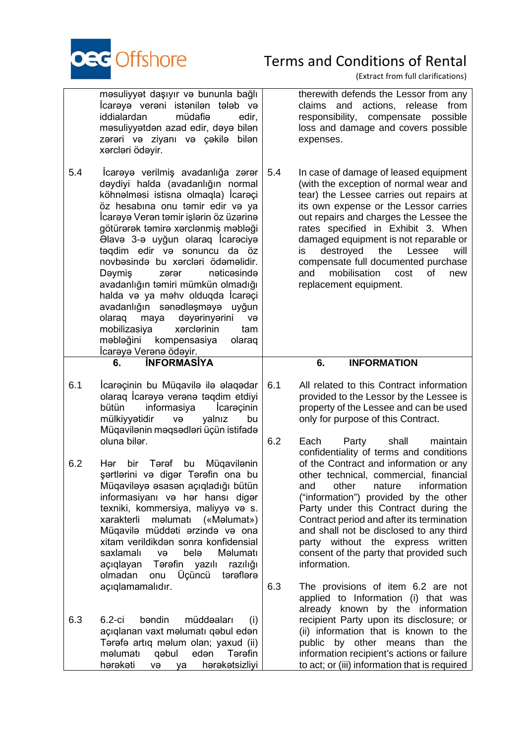

|     | məsuliyyət daşıyır və bununla bağlı<br>Icareye vereni istenilen teleb ve<br>iddialardan<br>müdafiə<br>edir,<br>məsuliyyətdən azad edir, dəyə bilən<br>zərəri və ziyanı və çəkilə<br>bilən<br>xərcləri ödəyir.                                                                                                                                                                                                                                                                                                                                                                                                                              |     | therewith defends the Lessor from any<br>claims and actions, release<br>from<br>responsibility,<br>compensate<br>possible<br>loss and damage and covers possible<br>expenses.                                                                                                                                                                                                                                                                                              |
|-----|--------------------------------------------------------------------------------------------------------------------------------------------------------------------------------------------------------------------------------------------------------------------------------------------------------------------------------------------------------------------------------------------------------------------------------------------------------------------------------------------------------------------------------------------------------------------------------------------------------------------------------------------|-----|----------------------------------------------------------------------------------------------------------------------------------------------------------------------------------------------------------------------------------------------------------------------------------------------------------------------------------------------------------------------------------------------------------------------------------------------------------------------------|
| 5.4 | İcarəyə verilmiş avadanlığa zərər<br>dəydiyi halda (avadanlığın normal<br>köhnəlməsi istisna olmaqla) İcarəçi<br>öz hesabına onu təmir edir və ya<br>İcarəyə Verən təmir işlərin öz üzərinə<br>götürərək təmirə xərclənmiş məbləği<br>Olavə 3-ə uyğun olaraq İcarəciyə<br>taqdim edir va sonuncu da öz<br>novbəsində bu xərcləri ödəməlidir.<br>nəticəsində<br>Dəymiş<br>zərər<br>avadanlığın təmiri mümkün olmadığı<br>halda və ya məhv olduqda İcarəçi<br>avadanlığın sənədləşməyə uyğun<br>maya<br>dəyərinyərini<br>olaraq<br>və<br>mobilizasiya<br>xərclərinin<br>tam<br>məbləğini<br>kompensasiya<br>olaraq<br>İcarəyə Verənə ödəyir. | 5.4 | In case of damage of leased equipment<br>(with the exception of normal wear and<br>tear) the Lessee carries out repairs at<br>its own expense or the Lessor carries<br>out repairs and charges the Lessee the<br>rates specified in Exhibit 3. When<br>damaged equipment is not reparable or<br>destroyed<br>the<br>Lessee<br>will<br>is.<br>compensate full documented purchase<br>mobilisation<br>and<br>cost<br>of<br>new<br>replacement equipment.                     |
|     | <b>INFORMASIYA</b><br>6.                                                                                                                                                                                                                                                                                                                                                                                                                                                                                                                                                                                                                   |     | <b>INFORMATION</b><br>6.                                                                                                                                                                                                                                                                                                                                                                                                                                                   |
| 6.1 | İcarəçinin bu Müqavilə ilə əlaqədar<br>olaraq İcarəyə verənə təqdim etdiyi                                                                                                                                                                                                                                                                                                                                                                                                                                                                                                                                                                 | 6.1 | All related to this Contract information<br>provided to the Lessor by the Lessee is                                                                                                                                                                                                                                                                                                                                                                                        |
|     | informasiya<br>bütün<br>Icarecinin<br>mülkiyyətidir<br>və<br>yalnız<br>bu<br>Müqavilənin məqsədləri üçün istifadə<br>oluna biler.                                                                                                                                                                                                                                                                                                                                                                                                                                                                                                          | 6.2 | property of the Lessee and can be used<br>only for purpose of this Contract.<br>Each<br>shall<br>maintain<br>Party                                                                                                                                                                                                                                                                                                                                                         |
| 6.2 | Tərəf<br>Müqavilənin<br>Hər<br>bir<br>bu<br>şərtlərini və digər Tərəfin ona bu<br>Müqaviləyə əsasən açıqladığı bütün<br>informasiyanı və hər hansı digər<br>texniki, kommersiya, maliyya va s.<br>xarakterli<br>məlumatı<br>(«Məlumat»)<br>Müqavilə müddəti ərzində və ona<br>xitam verildikdən sonra konfidensial<br>saxlamalı<br>belə<br>Məlumatı<br>və<br>Tərəfin yazılı<br>razılığı<br>açıqlayan<br>Üçüncü<br>tərəflərə<br>olmadan<br>onu<br>açıqlamamalıdır.                                                                                                                                                                          | 6.3 | confidentiality of terms and conditions<br>of the Contract and information or any<br>other technical, commercial, financial<br>and other nature information<br>("information") provided by the other<br>Party under this Contract during the<br>Contract period and after its termination<br>and shall not be disclosed to any third<br>party without the express written<br>consent of the party that provided such<br>information.<br>The provisions of item 6.2 are not |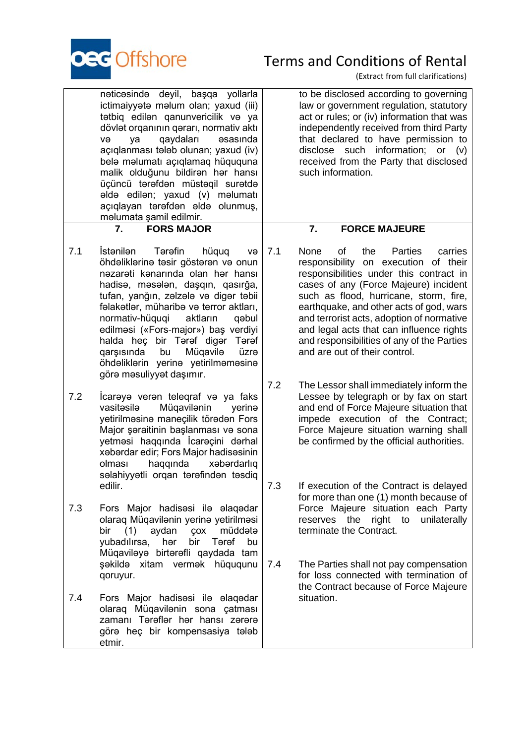

|     | nəticəsində deyil, başqa yollarla<br>ictimaiyyətə məlum olan; yaxud (iii)<br>tətbiq edilən qanunvericilik və ya<br>dövlət orqanının qərarı, normativ aktı<br>qaydaları<br><b>asasinda</b><br>və<br>ya<br>açıqlanması tələb olunan; yaxud (iv)<br>belə məlumatı açıqlamaq hüququna<br>malik olduğunu bildiran har hansı<br>üçüncü tərəfdən müstəqil surətdə<br>əldə edilən; yaxud (v) məlumatı<br>açıqlayan tərəfdən əldə olunmuş,<br>məlumata şamil edilmir.                  |            | to be disclosed according to governing<br>law or government regulation, statutory<br>act or rules; or (iv) information that was<br>independently received from third Party<br>that declared to have permission to<br>disclose such information; or (v)<br>received from the Party that disclosed<br>such information.                                                                                                                   |
|-----|-------------------------------------------------------------------------------------------------------------------------------------------------------------------------------------------------------------------------------------------------------------------------------------------------------------------------------------------------------------------------------------------------------------------------------------------------------------------------------|------------|-----------------------------------------------------------------------------------------------------------------------------------------------------------------------------------------------------------------------------------------------------------------------------------------------------------------------------------------------------------------------------------------------------------------------------------------|
|     | <b>FORS MAJOR</b><br>7.                                                                                                                                                                                                                                                                                                                                                                                                                                                       |            | 7.<br><b>FORCE MAJEURE</b>                                                                                                                                                                                                                                                                                                                                                                                                              |
| 7.1 | <i>İstenilen</i><br>Tərəfin<br>hüquq<br>və<br>öhdəliklərinə təsir göstərən və onun<br>nəzarəti kənarında olan hər hansı<br>hadisə, məsələn, daşqın, qasırğa,<br>tufan, yanğın, zəlzələ və digər təbii<br>fəlakətlər, müharibə və terror aktları,<br>aktların<br>normativ-hüquqi<br>qəbul<br>edilməsi («Fors-major») baş verdiyi<br>halda heç bir Tərəf digər Tərəf<br>Müqavilə<br>qarşısında<br>bu<br>üzrə<br>öhdəliklərin yerinə yetirilməməsinə<br>görə məsuliyyət daşımır. | 7.1        | None<br>οf<br><b>Parties</b><br>the<br>carries<br>responsibility on execution of their<br>responsibilities under this contract in<br>cases of any (Force Majeure) incident<br>such as flood, hurricane, storm, fire,<br>earthquake, and other acts of god, wars<br>and terrorist acts, adoption of normative<br>and legal acts that can influence rights<br>and responsibilities of any of the Parties<br>and are out of their control. |
| 7.2 | Icareye veren telegraf ve ya faks<br>vasitesile<br>Müqavilənin<br>yerinə<br>yetirilməsinə maneçilik törədən Fors<br>Major şəraitinin başlanması və sona<br>yetməsi haqqında İcarəçini dərhal<br>xabardar edir; Fors Major hadisasinin<br>haqqında<br>xəbərdarlıq<br>olması<br>səlahiyyətli orqan tərəfindən təsdiq<br>edilir.                                                                                                                                                 | 7.2<br>7.3 | The Lessor shall immediately inform the<br>Lessee by telegraph or by fax on start<br>and end of Force Majeure situation that<br>impede execution of the Contract;<br>Force Majeure situation warning shall<br>be confirmed by the official authorities.<br>If execution of the Contract is delayed                                                                                                                                      |
| 7.3 | Fors Major hadisesi ile elaqedar<br>olaraq Müqavilənin yerinə yetirilməsi<br>(1)<br>aydan<br>müddətə<br>bir<br>ÇOX<br>yubadılırsa,<br>bir<br>hər<br>Tərəf<br>bu<br>Müqaviləyə birtərəfli qaydada tam<br>şəkildə xitam vermək hüququnu                                                                                                                                                                                                                                         | 7.4        | for more than one (1) month because of<br>Force Majeure situation each Party<br>right to<br>reserves<br>the<br>unilaterally<br>terminate the Contract.<br>The Parties shall not pay compensation                                                                                                                                                                                                                                        |
| 7.4 | qoruyur.<br>Fors Major hadisesi ile elaqedar<br>olaraq Müqavilənin sona çatması<br>zamanı Tərəflər hər hansı zərərə<br>görə heç bir kompensasiya tələb<br>etmir.                                                                                                                                                                                                                                                                                                              |            | for loss connected with termination of<br>the Contract because of Force Majeure<br>situation.                                                                                                                                                                                                                                                                                                                                           |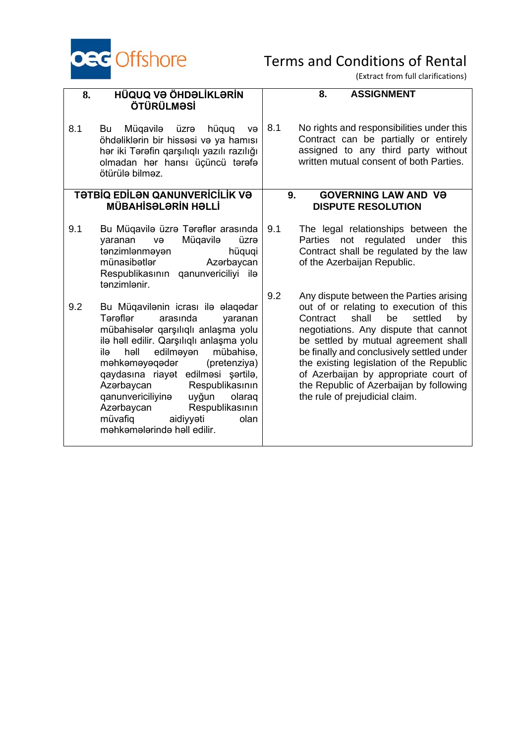

| 8.  | HÜQUQ VƏ ÖHDƏLİKLƏRİN<br>ÖTÜRÜLMƏSİ                                                                                                                                                                                                                                                                                                                                                                                                                | <b>ASSIGNMENT</b><br>8.                                                                                                                                                                                                                                                                                                                                                                                                               |
|-----|----------------------------------------------------------------------------------------------------------------------------------------------------------------------------------------------------------------------------------------------------------------------------------------------------------------------------------------------------------------------------------------------------------------------------------------------------|---------------------------------------------------------------------------------------------------------------------------------------------------------------------------------------------------------------------------------------------------------------------------------------------------------------------------------------------------------------------------------------------------------------------------------------|
| 8.1 | Müqavilə<br>üzrə<br>Bu<br>hüquq<br>və<br>öhdəliklərin bir hissəsi və ya hamısı<br>hər iki Tərəfin qarşılıqlı yazılı razılığı<br>olmadan hər hansı üçüncü tərəfə<br>ötürülə bilməz.                                                                                                                                                                                                                                                                 | 8.1<br>No rights and responsibilities under this<br>Contract can be partially or entirely<br>assigned to any third party without<br>written mutual consent of both Parties.                                                                                                                                                                                                                                                           |
|     | TƏTBIQ EDILƏN QANUNVERICILIK VƏ<br><b>MÜBAHİSƏLƏRİN HƏLLİ</b>                                                                                                                                                                                                                                                                                                                                                                                      | <b>GOVERNING LAW AND VƏ</b><br>9.<br><b>DISPUTE RESOLUTION</b>                                                                                                                                                                                                                                                                                                                                                                        |
| 9.1 | Bu Müqavilə üzrə Tərəflər arasında<br>Müqavilə<br>yaranan<br>üzrə<br>və<br>tənzimlənməyən<br>hüquqi<br>münasibətlər<br>Azərbaycan<br>Respublikasının qanunvericiliyi ilə<br>tənzimlənir.                                                                                                                                                                                                                                                           | 9.1<br>The legal relationships between the<br>Parties not regulated<br>under<br>this<br>Contract shall be regulated by the law<br>of the Azerbaijan Republic.                                                                                                                                                                                                                                                                         |
| 9.2 | Bu Müqavilənin icrası ilə əlaqədar<br>Tərəflər<br>arasında<br>yaranan<br>mübahisələr qarşılıqlı anlaşma yolu<br>ilə həll edilir. Qarşılıqlı anlaşma yolu<br>həll<br>edilməyən<br>mübahisə,<br>ilə<br>məhkəməyəqədər<br>(pretenziya)<br>qaydasına riayət edilməsi şərtilə,<br>Azərbaycan<br>Respublikasının<br>qanunvericiliyina<br>uyğun<br>olaraq<br>Azərbaycan<br>Respublikasının<br>müvafiq<br>aidiyyəti<br>olan<br>məhkəmələrində həll edilir. | 9.2<br>Any dispute between the Parties arising<br>out of or relating to execution of this<br>be<br>shall<br>settled<br>Contract<br>by<br>negotiations. Any dispute that cannot<br>be settled by mutual agreement shall<br>be finally and conclusively settled under<br>the existing legislation of the Republic<br>of Azerbaijan by appropriate court of<br>the Republic of Azerbaijan by following<br>the rule of prejudicial claim. |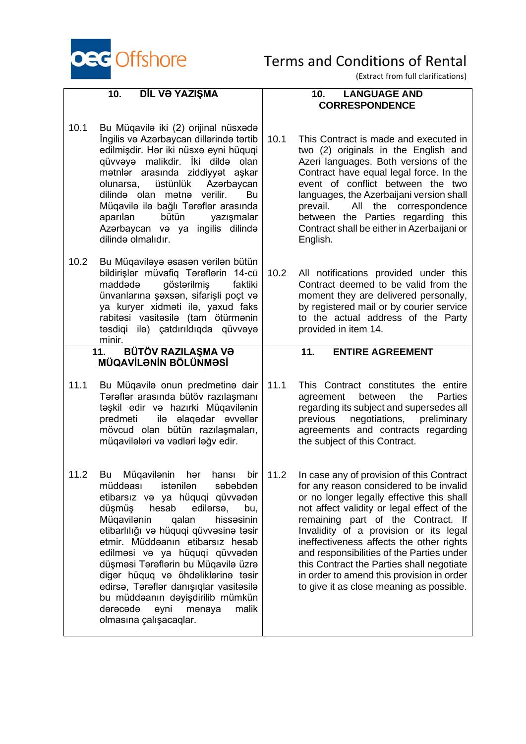

(Extract from full clarifications)

### **10. DİL VƏ YAZIŞMA**

**10. LANGUAGE AND CORRESPONDENCE**

- 10.1 Bu Müqavilə iki (2) orijinal nüsxədə İngilis və Azərbaycan dillərində tərtib edilmişdir. Hər iki nüsxə eyni hüquqi qüvvəyə malikdir. İki dildə olan mətnlər arasında ziddiyyət aşkar<br>olunarsa, üstünlük Azərbaycan olunarsa, üstünlük Azərbaycan dilində olan mətnə verilir. Bu Müqavilə ilə bağlı Tərəflər arasında aparılan bütün yazışmalar Azərbaycan və ya ingilis dilində dilində olmalıdır.
- 10.2 Bu Müqaviləyə əsasən verilən bütün bildirişlər müvafiq Tərəflərin 14-cü qöstərilmiş ünvanlarına şəxsən, sifarişli poçt və ya kuryer xidməti ilə, yaxud faks rabitəsi vasitəsilə (tam ötürmənin təsdiqi ilə) çatdırıldıqda qüvvəyə  $\frac{minir.}{11.}$

### **11. BÜTÖV RAZILAŞMA VƏ MÜQAVİLƏNİN BÖLÜNMƏSİ**

- 11.1 Bu Müqavilə onun predmetinə dair Tərəflər arasında bütöv razılaşmanı təşkil edir və hazırki Müqavilənin predmeti ilə əlaqədar əvvəllər mövcud olan bütün razılaşmaları, müqavilələri və vədləri ləğv edir.
- 11.2 Bu Müqavilənin hər hansı bir müddəası istənilən səbəbdən etibarsız və ya hüquqi qüvvədən<br>düşmüş hesab edilərsə bu düşmüş hesab edilərsə, bu, Müqavilənin qalan hissəsinin etibarlılığı və hüquqi qüvvəsinə təsir etmir. Müddəanın etibarsız hesab edilməsi və ya hüquqi qüvvədən düşməsi Tərəflərin bu Müqavilə üzrə digər hüquq və öhdəliklərinə təsir edirsə, Tərəflər danışıqlar vasitəsilə bu müddəanın dəyişdirilib mümkün dərəcədə eyni mənaya malik olmasına çalışacaqlar.

### 10.1 This Contract is made and executed in two (2) originals in the English and Azeri languages. Both versions of the Contract have equal legal force. In the event of conflict between the two languages, the Azerbaijani version shall prevail. All the correspondence between the Parties regarding this Contract shall be either in Azerbaijani or English.

- 10.2 All notifications provided under this Contract deemed to be valid from the moment they are delivered personally, by registered mail or by courier service to the actual address of the Party provided in item 14.
	- **11. ENTIRE AGREEMENT**
- 11.1 This Contract constitutes the entire agreement between the Parties regarding its subject and supersedes all previous negotiations, preliminary agreements and contracts regarding the subject of this Contract.
- 11.2 In case any of provision of this Contract for any reason considered to be invalid or no longer legally effective this shall not affect validity or legal effect of the remaining part of the Contract. If Invalidity of a provision or its legal ineffectiveness affects the other rights and responsibilities of the Parties under this Contract the Parties shall negotiate in order to amend this provision in order to give it as close meaning as possible.